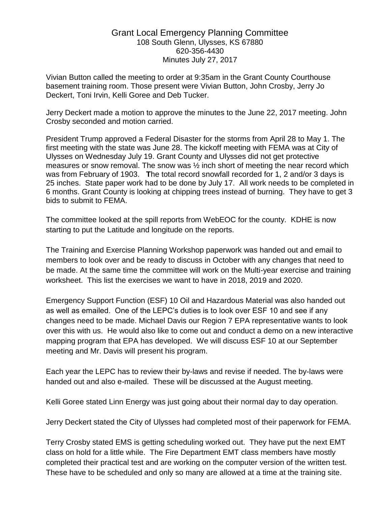## Grant Local Emergency Planning Committee 108 South Glenn, Ulysses, KS 67880 620-356-4430 Minutes July 27, 2017

Vivian Button called the meeting to order at 9:35am in the Grant County Courthouse basement training room. Those present were Vivian Button, John Crosby, Jerry Jo Deckert, Toni Irvin, Kelli Goree and Deb Tucker.

Jerry Deckert made a motion to approve the minutes to the June 22, 2017 meeting. John Crosby seconded and motion carried.

President Trump approved a Federal Disaster for the storms from April 28 to May 1. The first meeting with the state was June 28. The kickoff meeting with FEMA was at City of Ulysses on Wednesday July 19. Grant County and Ulysses did not get protective measures or snow removal. The snow was ½ inch short of meeting the near record which was from February of 1903. **T**he total record snowfall recorded for 1, 2 and/or 3 days is 25 inches. State paper work had to be done by July 17. All work needs to be completed in 6 months. Grant County is looking at chipping trees instead of burning. They have to get 3 bids to submit to FEMA.

The committee looked at the spill reports from WebEOC for the county. KDHE is now starting to put the Latitude and longitude on the reports.

The Training and Exercise Planning Workshop paperwork was handed out and email to members to look over and be ready to discuss in October with any changes that need to be made. At the same time the committee will work on the Multi-year exercise and training worksheet. This list the exercises we want to have in 2018, 2019 and 2020.

Emergency Support Function (ESF) 10 Oil and Hazardous Material was also handed out as well as emailed. One of the LEPC's duties is to look over ESF 10 and see if any changes need to be made. Michael Davis our Region 7 EPA representative wants to look over this with us. He would also like to come out and conduct a demo on a new interactive mapping program that EPA has developed. We will discuss ESF 10 at our September meeting and Mr. Davis will present his program.

Each year the LEPC has to review their by-laws and revise if needed. The by-laws were handed out and also e-mailed. These will be discussed at the August meeting.

Kelli Goree stated Linn Energy was just going about their normal day to day operation.

Jerry Deckert stated the City of Ulysses had completed most of their paperwork for FEMA.

Terry Crosby stated EMS is getting scheduling worked out. They have put the next EMT class on hold for a little while. The Fire Department EMT class members have mostly completed their practical test and are working on the computer version of the written test. These have to be scheduled and only so many are allowed at a time at the training site.